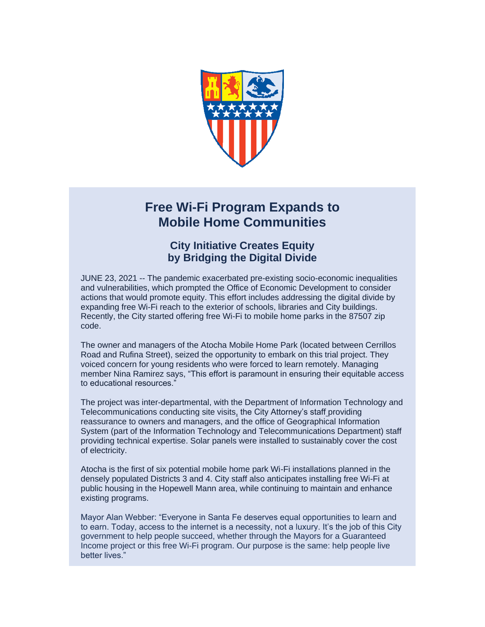

## **Free Wi-Fi Program Expands to Mobile Home Communities**

## **City Initiative Creates Equity by Bridging the Digital Divide**

JUNE 23, 2021 -- The pandemic exacerbated pre-existing socio-economic inequalities and vulnerabilities, which prompted the Office of Economic Development to consider actions that would promote equity. This effort includes addressing the digital divide by expanding free Wi-Fi reach to the exterior of schools, libraries and City buildings. Recently, the City started offering free Wi-Fi to mobile home parks in the 87507 zip code.

The owner and managers of the Atocha Mobile Home Park (located between Cerrillos Road and Rufina Street), seized the opportunity to embark on this trial project. They voiced concern for young residents who were forced to learn remotely. Managing member Nina Ramirez says, "This effort is paramount in ensuring their equitable access to educational resources."

The project was inter-departmental, with the Department of Information Technology and Telecommunications conducting site visits, the City Attorney's staff providing reassurance to owners and managers, and the office of Geographical Information System (part of the Information Technology and Telecommunications Department) staff providing technical expertise. Solar panels were installed to sustainably cover the cost of electricity.

Atocha is the first of six potential mobile home park Wi-Fi installations planned in the densely populated Districts 3 and 4. City staff also anticipates installing free Wi-Fi at public housing in the Hopewell Mann area, while continuing to maintain and enhance existing programs.

Mayor Alan Webber: "Everyone in Santa Fe deserves equal opportunities to learn and to earn. Today, access to the internet is a necessity, not a luxury. It's the job of this City government to help people succeed, whether through the Mayors for a Guaranteed Income project or this free Wi-Fi program. Our purpose is the same: help people live better lives."